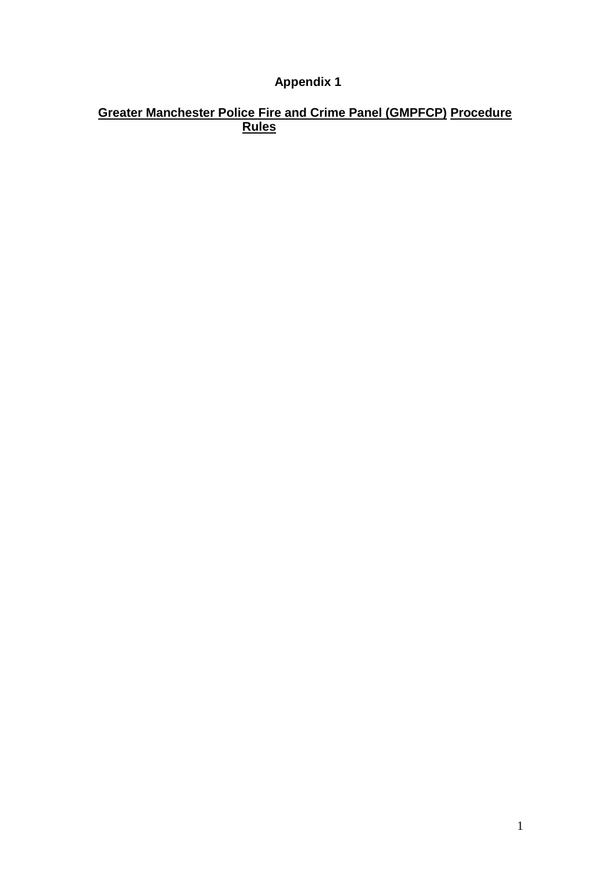### **Appendix 1**

#### **Greater Manchester Police Fire and Crime Panel (GMPFCP) Procedure Rules**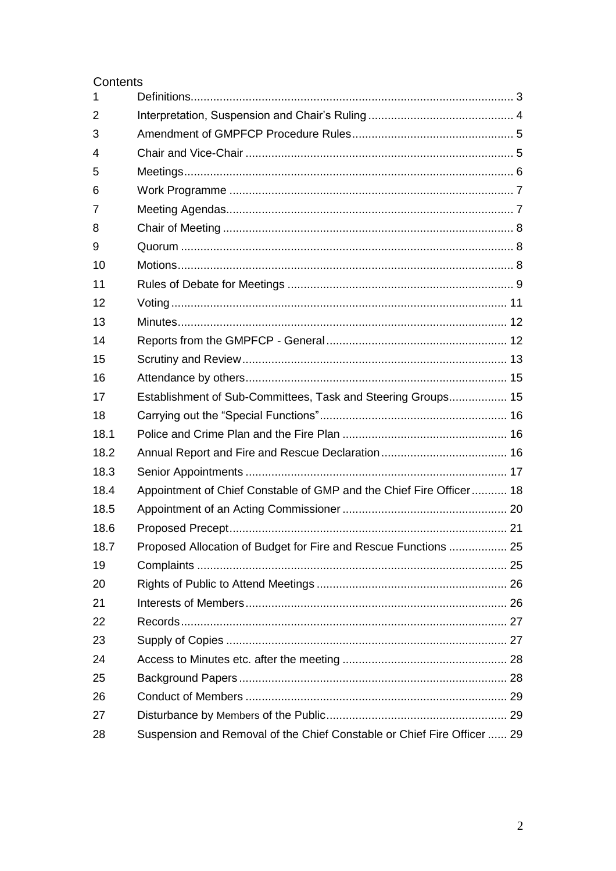#### Contents

| $\mathbf 1$ |                                                                         |  |
|-------------|-------------------------------------------------------------------------|--|
| 2           |                                                                         |  |
| 3           |                                                                         |  |
| 4           |                                                                         |  |
| 5           |                                                                         |  |
| 6           |                                                                         |  |
| 7           |                                                                         |  |
| 8           |                                                                         |  |
| 9           |                                                                         |  |
| 10          |                                                                         |  |
| 11          |                                                                         |  |
| 12          |                                                                         |  |
| 13          |                                                                         |  |
| 14          |                                                                         |  |
| 15          |                                                                         |  |
| 16          |                                                                         |  |
| 17          | Establishment of Sub-Committees, Task and Steering Groups 15            |  |
| 18          |                                                                         |  |
| 18.1        |                                                                         |  |
| 18.2        |                                                                         |  |
| 18.3        |                                                                         |  |
| 18.4        | Appointment of Chief Constable of GMP and the Chief Fire Officer 18     |  |
| 18.5        |                                                                         |  |
| 18.6        |                                                                         |  |
| 18.7        | Proposed Allocation of Budget for Fire and Rescue Functions  25         |  |
| 19          |                                                                         |  |
| 20          |                                                                         |  |
| 21          |                                                                         |  |
| 22          |                                                                         |  |
| 23          |                                                                         |  |
| 24          |                                                                         |  |
| 25          |                                                                         |  |
| 26          |                                                                         |  |
| 27          |                                                                         |  |
| 28          | Suspension and Removal of the Chief Constable or Chief Fire Officer  29 |  |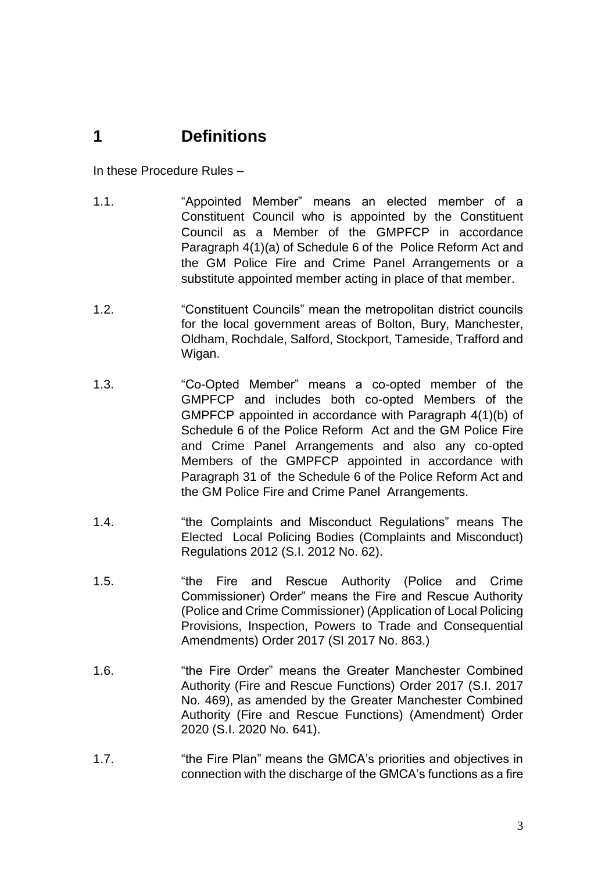### <span id="page-2-0"></span>**1 Definitions**

In these Procedure Rules –

- 1.1. "Appointed Member" means an elected member of a Constituent Council who is appointed by the Constituent Council as a Member of the GMPFCP in accordance Paragraph 4(1)(a) of Schedule 6 of the Police Reform Act and the GM Police Fire and Crime Panel Arrangements or a substitute appointed member acting in place of that member.
- 1.2. "Constituent Councils" mean the metropolitan district councils for the local government areas of Bolton, Bury, Manchester, Oldham, Rochdale, Salford, Stockport, Tameside, Trafford and Wigan.
- 1.3. "Co-Opted Member" means a co-opted member of the GMPFCP and includes both co-opted Members of the GMPFCP appointed in accordance with Paragraph 4(1)(b) of Schedule 6 of the Police Reform Act and the GM Police Fire and Crime Panel Arrangements and also any co-opted Members of the GMPFCP appointed in accordance with Paragraph 31 of the Schedule 6 of the Police Reform Act and the GM Police Fire and Crime Panel Arrangements.
- 1.4. "the Complaints and Misconduct Regulations" means The Elected Local Policing Bodies (Complaints and Misconduct) Regulations 2012 (S.I. 2012 No. 62).
- 1.5. "the Fire and Rescue Authority (Police and Crime Commissioner) Order" means the Fire and Rescue Authority (Police and Crime Commissioner) (Application of Local Policing Provisions, Inspection, Powers to Trade and Consequential Amendments) Order 2017 (SI 2017 No. 863.)
- 1.6. "the Fire Order" means the Greater Manchester Combined Authority (Fire and Rescue Functions) Order 2017 (S.I. 2017 No. 469), as amended by the Greater Manchester Combined Authority (Fire and Rescue Functions) (Amendment) Order 2020 (S.I. 2020 No. 641).
- 1.7. "the Fire Plan" means the GMCA's priorities and objectives in connection with the discharge of the GMCA's functions as a fire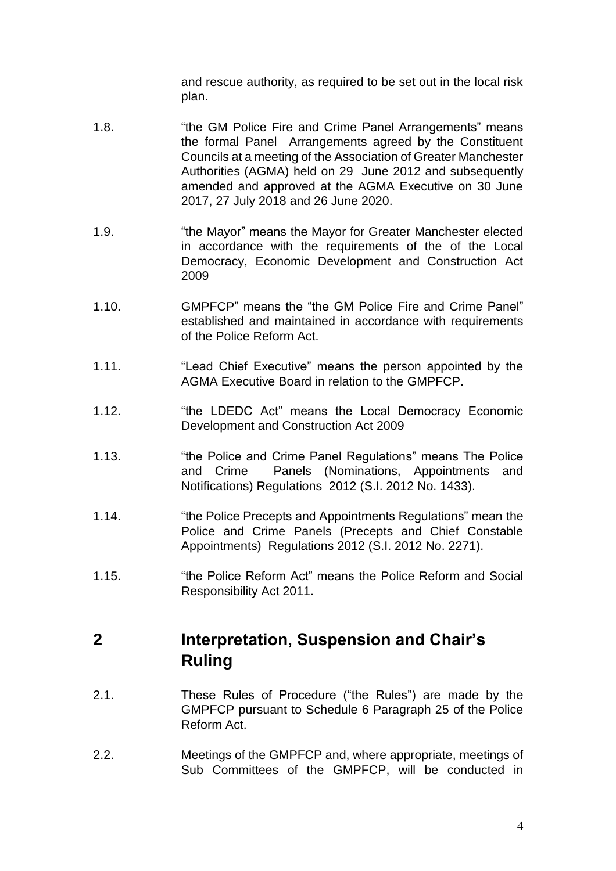and rescue authority, as required to be set out in the local risk plan.

- 1.8. "the GM Police Fire and Crime Panel Arrangements" means the formal Panel Arrangements agreed by the Constituent Councils at a meeting of the Association of Greater Manchester Authorities (AGMA) held on 29 June 2012 and subsequently amended and approved at the AGMA Executive on 30 June 2017, 27 July 2018 and 26 June 2020.
- 1.9. "the Mayor" means the Mayor for Greater Manchester elected in accordance with the requirements of the of the Local Democracy, Economic Development and Construction Act 2009
- 1.10. GMPFCP" means the "the GM Police Fire and Crime Panel" established and maintained in accordance with requirements of the Police Reform Act.
- 1.11. "Lead Chief Executive" means the person appointed by the AGMA Executive Board in relation to the GMPFCP.
- 1.12. "the LDEDC Act" means the Local Democracy Economic Development and Construction Act 2009
- 1.13. "the Police and Crime Panel Regulations" means The Police and Crime Panels (Nominations, Appointments and Notifications) Regulations 2012 (S.I. 2012 No. 1433).
- 1.14. "the Police Precepts and Appointments Regulations" mean the Police and Crime Panels (Precepts and Chief Constable Appointments) Regulations 2012 (S.I. 2012 No. 2271).
- 1.15. "the Police Reform Act" means the Police Reform and Social Responsibility Act 2011.

# <span id="page-3-0"></span>**2 Interpretation, Suspension and Chair's Ruling**

- 2.1. These Rules of Procedure ("the Rules") are made by the GMPFCP pursuant to Schedule 6 Paragraph 25 of the Police Reform Act.
- 2.2. Meetings of the GMPFCP and, where appropriate, meetings of Sub Committees of the GMPFCP, will be conducted in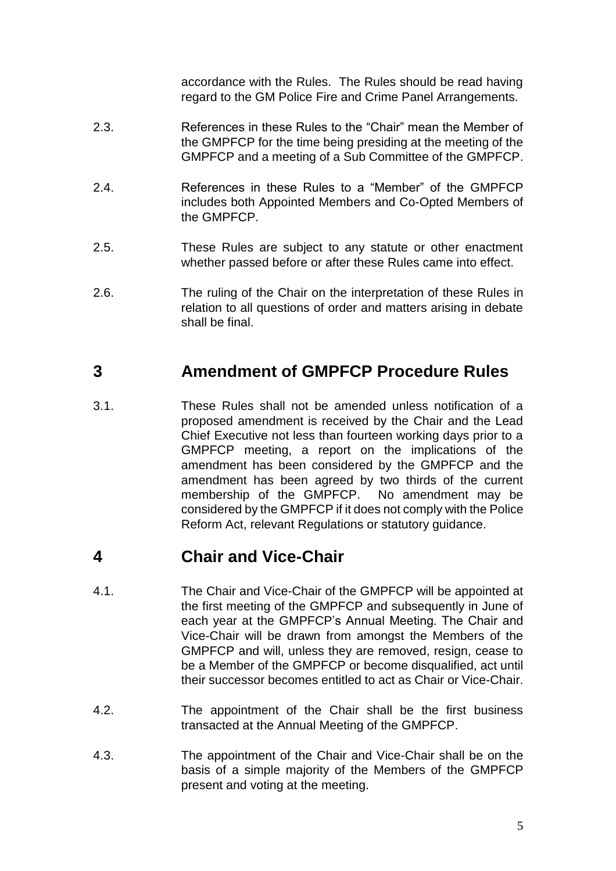accordance with the Rules. The Rules should be read having regard to the GM Police Fire and Crime Panel Arrangements.

- 2.3. References in these Rules to the "Chair" mean the Member of the GMPFCP for the time being presiding at the meeting of the GMPFCP and a meeting of a Sub Committee of the GMPFCP.
- 2.4. References in these Rules to a "Member" of the GMPFCP includes both Appointed Members and Co-Opted Members of the GMPFCP.
- 2.5. These Rules are subject to any statute or other enactment whether passed before or after these Rules came into effect.
- 2.6. The ruling of the Chair on the interpretation of these Rules in relation to all questions of order and matters arising in debate shall be final.

## <span id="page-4-0"></span>**3 Amendment of GMPFCP Procedure Rules**

3.1. These Rules shall not be amended unless notification of a proposed amendment is received by the Chair and the Lead Chief Executive not less than fourteen working days prior to a GMPFCP meeting, a report on the implications of the amendment has been considered by the GMPFCP and the amendment has been agreed by two thirds of the current membership of the GMPFCP. No amendment may be considered by the GMPFCP if it does not comply with the Police Reform Act, relevant Regulations or statutory guidance.

# <span id="page-4-1"></span>**4 Chair and Vice-Chair**

- 4.1. The Chair and Vice-Chair of the GMPFCP will be appointed at the first meeting of the GMPFCP and subsequently in June of each year at the GMPFCP's Annual Meeting. The Chair and Vice-Chair will be drawn from amongst the Members of the GMPFCP and will, unless they are removed, resign, cease to be a Member of the GMPFCP or become disqualified, act until their successor becomes entitled to act as Chair or Vice-Chair.
- 4.2. The appointment of the Chair shall be the first business transacted at the Annual Meeting of the GMPFCP.
- 4.3. The appointment of the Chair and Vice-Chair shall be on the basis of a simple majority of the Members of the GMPFCP present and voting at the meeting.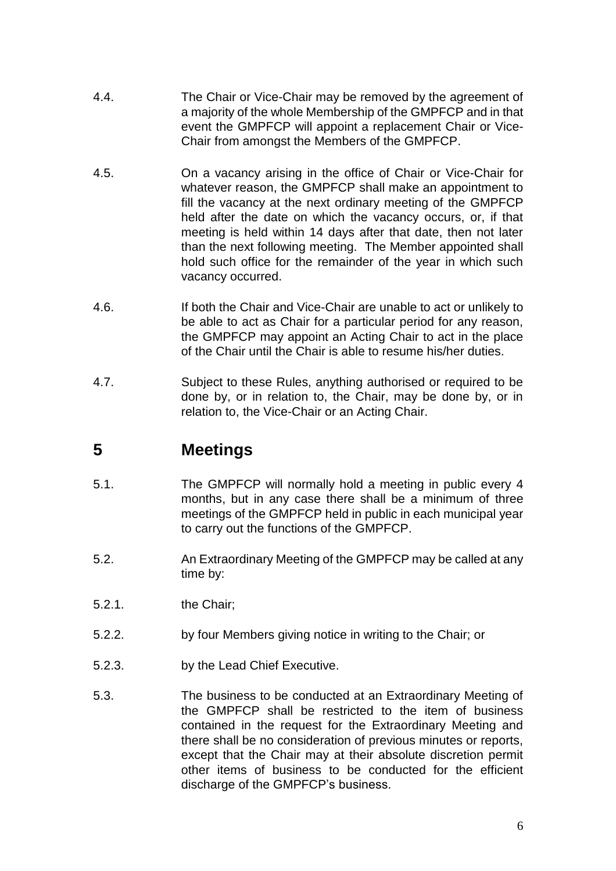- 4.4. The Chair or Vice-Chair may be removed by the agreement of a majority of the whole Membership of the GMPFCP and in that event the GMPFCP will appoint a replacement Chair or Vice-Chair from amongst the Members of the GMPFCP.
- 4.5. On a vacancy arising in the office of Chair or Vice-Chair for whatever reason, the GMPFCP shall make an appointment to fill the vacancy at the next ordinary meeting of the GMPFCP held after the date on which the vacancy occurs, or, if that meeting is held within 14 days after that date, then not later than the next following meeting. The Member appointed shall hold such office for the remainder of the year in which such vacancy occurred.
- 4.6. If both the Chair and Vice-Chair are unable to act or unlikely to be able to act as Chair for a particular period for any reason, the GMPFCP may appoint an Acting Chair to act in the place of the Chair until the Chair is able to resume his/her duties.
- 4.7. Subject to these Rules, anything authorised or required to be done by, or in relation to, the Chair, may be done by, or in relation to, the Vice-Chair or an Acting Chair.

# <span id="page-5-0"></span>**5 Meetings**

- 5.1. The GMPFCP will normally hold a meeting in public every 4 months, but in any case there shall be a minimum of three meetings of the GMPFCP held in public in each municipal year to carry out the functions of the GMPFCP.
- 5.2. An Extraordinary Meeting of the GMPFCP may be called at any time by:
- 5.2.1. the Chair;
- 5.2.2. by four Members giving notice in writing to the Chair; or
- 5.2.3. by the Lead Chief Executive.
- 5.3. The business to be conducted at an Extraordinary Meeting of the GMPFCP shall be restricted to the item of business contained in the request for the Extraordinary Meeting and there shall be no consideration of previous minutes or reports, except that the Chair may at their absolute discretion permit other items of business to be conducted for the efficient discharge of the GMPFCP's business.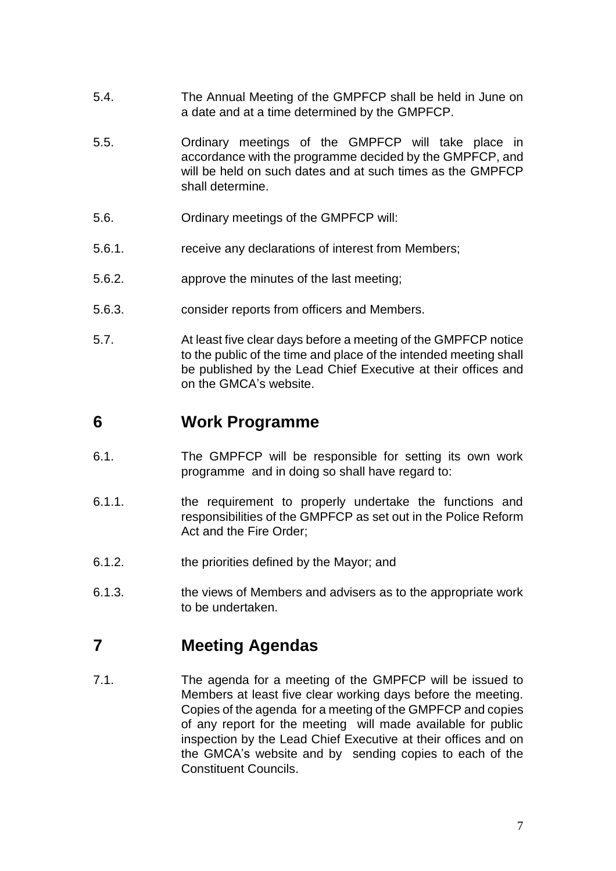- 5.4. The Annual Meeting of the GMPFCP shall be held in June on a date and at a time determined by the GMPFCP.
- 5.5. Ordinary meetings of the GMPFCP will take place in accordance with the programme decided by the GMPFCP, and will be held on such dates and at such times as the GMPFCP shall determine.
- 5.6. Ordinary meetings of the GMPFCP will:
- 5.6.1. receive any declarations of interest from Members;
- 5.6.2. approve the minutes of the last meeting;
- 5.6.3. consider reports from officers and Members.
- 5.7. At least five clear days before a meeting of the GMPFCP notice to the public of the time and place of the intended meeting shall be published by the Lead Chief Executive at their offices and on the GMCA's website.

#### <span id="page-6-0"></span>**6 Work Programme**

- 6.1. The GMPFCP will be responsible for setting its own work programme and in doing so shall have regard to:
- 6.1.1. the requirement to properly undertake the functions and responsibilities of the GMPFCP as set out in the Police Reform Act and the Fire Order;
- 6.1.2. the priorities defined by the Mayor; and
- 6.1.3. the views of Members and advisers as to the appropriate work to be undertaken.

# <span id="page-6-1"></span>**7 Meeting Agendas**

7.1. The agenda for a meeting of the GMPFCP will be issued to Members at least five clear working days before the meeting. Copies of the agenda for a meeting of the GMPFCP and copies of any report for the meeting will made available for public inspection by the Lead Chief Executive at their offices and on the GMCA's website and by sending copies to each of the Constituent Councils.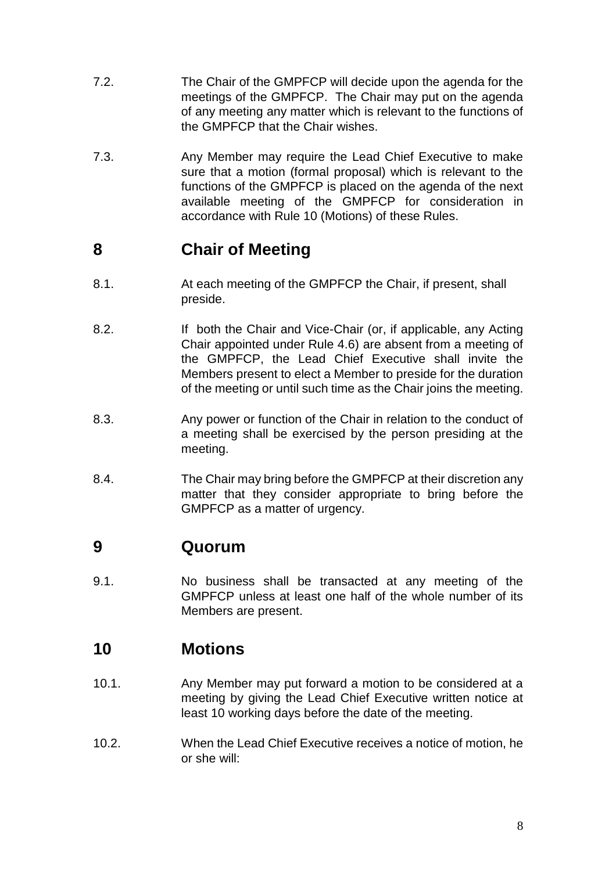- 7.2. The Chair of the GMPFCP will decide upon the agenda for the meetings of the GMPFCP. The Chair may put on the agenda of any meeting any matter which is relevant to the functions of the GMPFCP that the Chair wishes.
- 7.3. Any Member may require the Lead Chief Executive to make sure that a motion (formal proposal) which is relevant to the functions of the GMPFCP is placed on the agenda of the next available meeting of the GMPFCP for consideration in accordance with Rule 10 (Motions) of these Rules.

# <span id="page-7-0"></span>**8 Chair of Meeting**

- 8.1. At each meeting of the GMPFCP the Chair, if present, shall preside.
- 8.2. If both the Chair and Vice-Chair (or, if applicable, any Acting Chair appointed under Rule 4.6) are absent from a meeting of the GMPFCP, the Lead Chief Executive shall invite the Members present to elect a Member to preside for the duration of the meeting or until such time as the Chair joins the meeting.
- 8.3. Any power or function of the Chair in relation to the conduct of a meeting shall be exercised by the person presiding at the meeting.
- 8.4. The Chair may bring before the GMPFCP at their discretion any matter that they consider appropriate to bring before the GMPFCP as a matter of urgency.

#### <span id="page-7-1"></span>**9 Quorum**

9.1. No business shall be transacted at any meeting of the GMPFCP unless at least one half of the whole number of its Members are present.

### <span id="page-7-2"></span>**10 Motions**

- 10.1. Any Member may put forward a motion to be considered at a meeting by giving the Lead Chief Executive written notice at least 10 working days before the date of the meeting.
- 10.2. When the Lead Chief Executive receives a notice of motion, he or she will: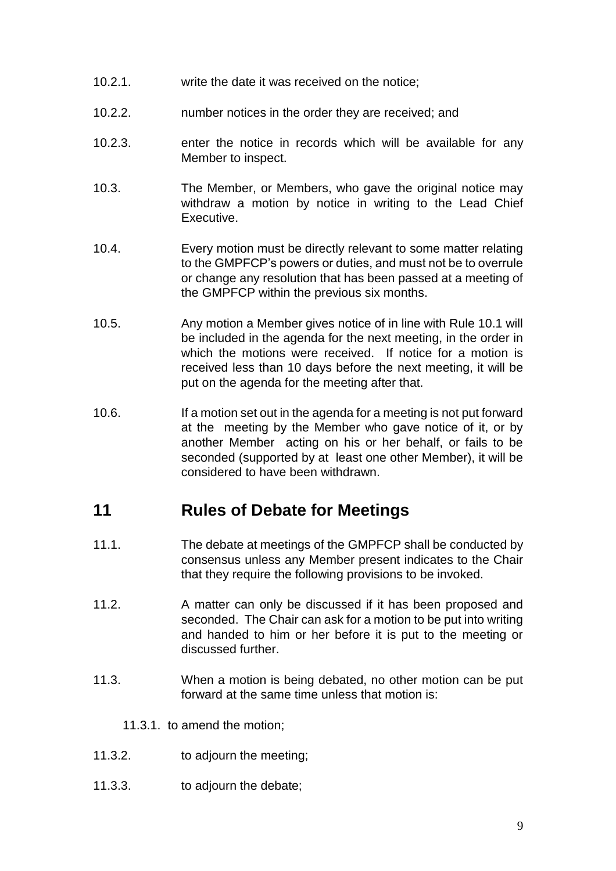- 10.2.1. write the date it was received on the notice;
- 10.2.2. number notices in the order they are received; and
- 10.2.3. enter the notice in records which will be available for any Member to inspect.
- 10.3. The Member, or Members, who gave the original notice may withdraw a motion by notice in writing to the Lead Chief Executive.
- 10.4. Every motion must be directly relevant to some matter relating to the GMPFCP's powers or duties, and must not be to overrule or change any resolution that has been passed at a meeting of the GMPFCP within the previous six months.
- 10.5. Any motion a Member gives notice of in line with Rule 10.1 will be included in the agenda for the next meeting, in the order in which the motions were received. If notice for a motion is received less than 10 days before the next meeting, it will be put on the agenda for the meeting after that.
- 10.6. If a motion set out in the agenda for a meeting is not put forward at the meeting by the Member who gave notice of it, or by another Member acting on his or her behalf, or fails to be seconded (supported by at least one other Member), it will be considered to have been withdrawn.

#### <span id="page-8-0"></span>**11 Rules of Debate for Meetings**

- 11.1. The debate at meetings of the GMPFCP shall be conducted by consensus unless any Member present indicates to the Chair that they require the following provisions to be invoked.
- 11.2. A matter can only be discussed if it has been proposed and seconded. The Chair can ask for a motion to be put into writing and handed to him or her before it is put to the meeting or discussed further.
- 11.3. When a motion is being debated, no other motion can be put forward at the same time unless that motion is:
	- 11.3.1. to amend the motion;
- 11.3.2. to adjourn the meeting;
- 11.3.3. to adjourn the debate;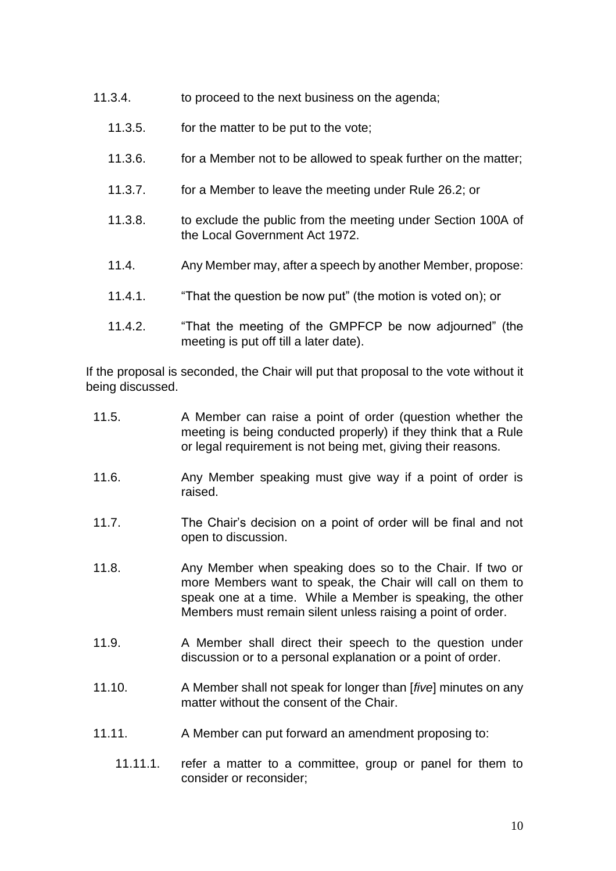- 11.3.4. to proceed to the next business on the agenda;
	- 11.3.5. for the matter to be put to the vote;
	- 11.3.6. for a Member not to be allowed to speak further on the matter;
	- 11.3.7. for a Member to leave the meeting under Rule 26.2; or
	- 11.3.8. to exclude the public from the meeting under Section 100A of the Local Government Act 1972.
	- 11.4. Any Member may, after a speech by another Member, propose:
	- 11.4.1. "That the question be now put" (the motion is voted on); or
	- 11.4.2. "That the meeting of the GMPFCP be now adjourned" (the meeting is put off till a later date).

If the proposal is seconded, the Chair will put that proposal to the vote without it being discussed.

- 11.5. A Member can raise a point of order (question whether the meeting is being conducted properly) if they think that a Rule or legal requirement is not being met, giving their reasons.
- 11.6. Any Member speaking must give way if a point of order is raised.
- 11.7. The Chair's decision on a point of order will be final and not open to discussion.
- 11.8. Any Member when speaking does so to the Chair. If two or more Members want to speak, the Chair will call on them to speak one at a time. While a Member is speaking, the other Members must remain silent unless raising a point of order.
- 11.9. A Member shall direct their speech to the question under discussion or to a personal explanation or a point of order.
- 11.10. A Member shall not speak for longer than [*five*] minutes on any matter without the consent of the Chair.
- 11.11. A Member can put forward an amendment proposing to:
	- 11.11.1. refer a matter to a committee, group or panel for them to consider or reconsider;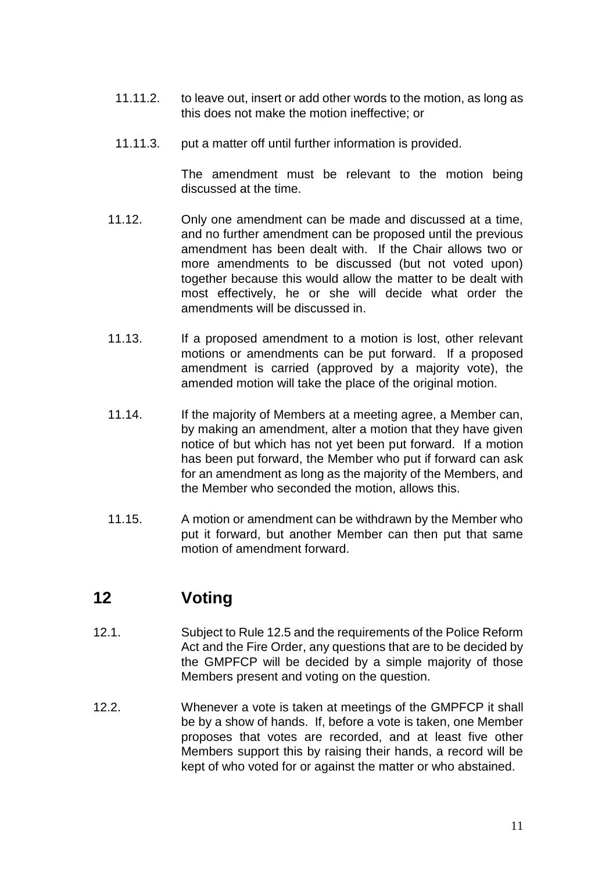- 11.11.2. to leave out, insert or add other words to the motion, as long as this does not make the motion ineffective; or
- 11.11.3. put a matter off until further information is provided.

The amendment must be relevant to the motion being discussed at the time.

- 11.12. Only one amendment can be made and discussed at a time, and no further amendment can be proposed until the previous amendment has been dealt with. If the Chair allows two or more amendments to be discussed (but not voted upon) together because this would allow the matter to be dealt with most effectively, he or she will decide what order the amendments will be discussed in.
- 11.13. If a proposed amendment to a motion is lost, other relevant motions or amendments can be put forward. If a proposed amendment is carried (approved by a majority vote), the amended motion will take the place of the original motion.
- 11.14. If the majority of Members at a meeting agree, a Member can, by making an amendment, alter a motion that they have given notice of but which has not yet been put forward. If a motion has been put forward, the Member who put if forward can ask for an amendment as long as the majority of the Members, and the Member who seconded the motion, allows this.
- 11.15. A motion or amendment can be withdrawn by the Member who put it forward, but another Member can then put that same motion of amendment forward.

# <span id="page-10-0"></span>**12 Voting**

- 12.1. Subject to Rule 12.5 and the requirements of the Police Reform Act and the Fire Order, any questions that are to be decided by the GMPFCP will be decided by a simple majority of those Members present and voting on the question.
- 12.2. Whenever a vote is taken at meetings of the GMPFCP it shall be by a show of hands. If, before a vote is taken, one Member proposes that votes are recorded, and at least five other Members support this by raising their hands, a record will be kept of who voted for or against the matter or who abstained.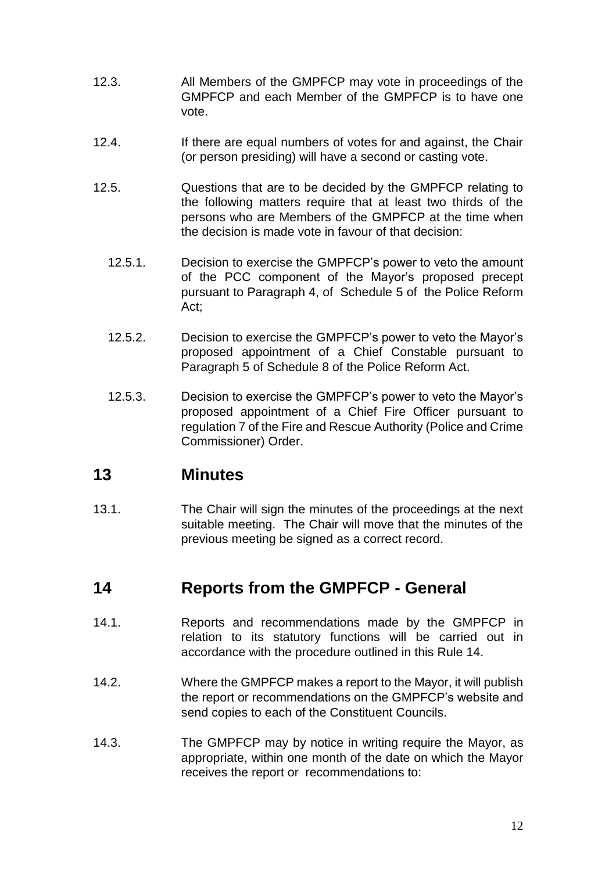- 12.3. All Members of the GMPFCP may vote in proceedings of the GMPFCP and each Member of the GMPFCP is to have one vote.
- 12.4. If there are equal numbers of votes for and against, the Chair (or person presiding) will have a second or casting vote.
- 12.5. Questions that are to be decided by the GMPFCP relating to the following matters require that at least two thirds of the persons who are Members of the GMPFCP at the time when the decision is made vote in favour of that decision:
	- 12.5.1. Decision to exercise the GMPFCP's power to veto the amount of the PCC component of the Mayor's proposed precept pursuant to Paragraph 4, of Schedule 5 of the Police Reform Act;
	- 12.5.2. Decision to exercise the GMPFCP's power to veto the Mayor's proposed appointment of a Chief Constable pursuant to Paragraph 5 of Schedule 8 of the Police Reform Act.
	- 12.5.3. Decision to exercise the GMPFCP's power to veto the Mayor's proposed appointment of a Chief Fire Officer pursuant to regulation 7 of the Fire and Rescue Authority (Police and Crime Commissioner) Order.

#### <span id="page-11-0"></span>**13 Minutes**

13.1. The Chair will sign the minutes of the proceedings at the next suitable meeting. The Chair will move that the minutes of the previous meeting be signed as a correct record.

#### <span id="page-11-1"></span>**14 Reports from the GMPFCP - General**

- 14.1. Reports and recommendations made by the GMPFCP in relation to its statutory functions will be carried out in accordance with the procedure outlined in this Rule 14.
- 14.2. Where the GMPFCP makes a report to the Mayor, it will publish the report or recommendations on the GMPFCP's website and send copies to each of the Constituent Councils.
- 14.3. The GMPFCP may by notice in writing require the Mayor, as appropriate, within one month of the date on which the Mayor receives the report or recommendations to: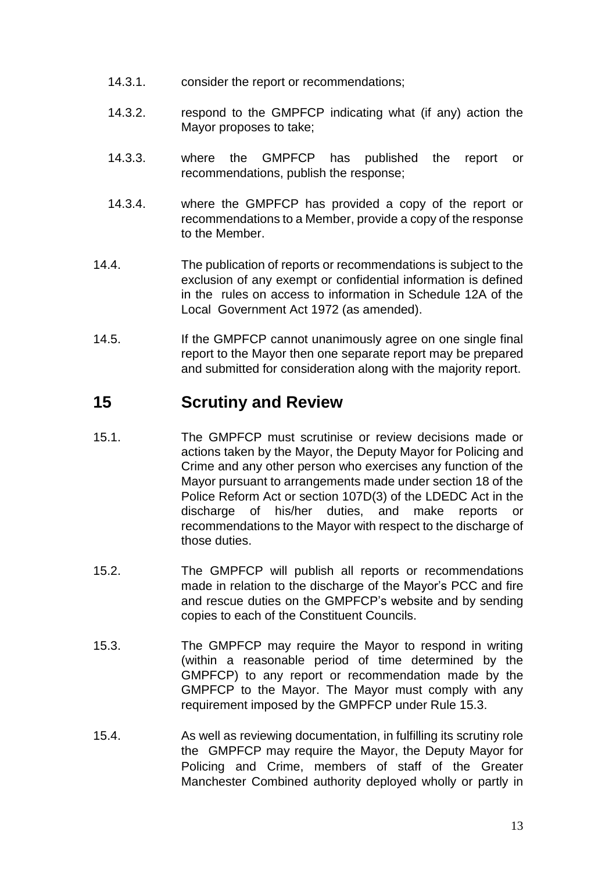- 14.3.1. consider the report or recommendations;
- 14.3.2. respond to the GMPFCP indicating what (if any) action the Mayor proposes to take;
- 14.3.3. where the GMPFCP has published the report or recommendations, publish the response;
- 14.3.4. where the GMPFCP has provided a copy of the report or recommendations to a Member, provide a copy of the response to the Member.
- 14.4. The publication of reports or recommendations is subject to the exclusion of any exempt or confidential information is defined in the rules on access to information in Schedule 12A of the Local Government Act 1972 (as amended).
- 14.5. If the GMPFCP cannot unanimously agree on one single final report to the Mayor then one separate report may be prepared and submitted for consideration along with the majority report.

### <span id="page-12-0"></span>**15 Scrutiny and Review**

- 15.1. The GMPFCP must scrutinise or review decisions made or actions taken by the Mayor, the Deputy Mayor for Policing and Crime and any other person who exercises any function of the Mayor pursuant to arrangements made under section 18 of the Police Reform Act or section 107D(3) of the LDEDC Act in the discharge of his/her duties, and make reports or recommendations to the Mayor with respect to the discharge of those duties.
- 15.2. The GMPFCP will publish all reports or recommendations made in relation to the discharge of the Mayor's PCC and fire and rescue duties on the GMPFCP's website and by sending copies to each of the Constituent Councils.
- 15.3. The GMPFCP may require the Mayor to respond in writing (within a reasonable period of time determined by the GMPFCP) to any report or recommendation made by the GMPFCP to the Mayor. The Mayor must comply with any requirement imposed by the GMPFCP under Rule 15.3.
- 15.4. As well as reviewing documentation, in fulfilling its scrutiny role the GMPFCP may require the Mayor, the Deputy Mayor for Policing and Crime, members of staff of the Greater Manchester Combined authority deployed wholly or partly in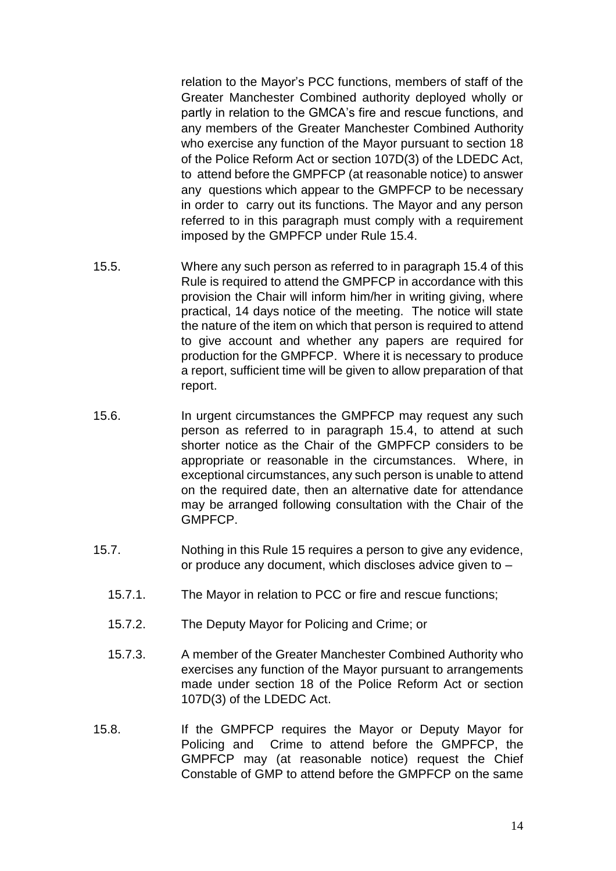relation to the Mayor's PCC functions, members of staff of the Greater Manchester Combined authority deployed wholly or partly in relation to the GMCA's fire and rescue functions, and any members of the Greater Manchester Combined Authority who exercise any function of the Mayor pursuant to section 18 of the Police Reform Act or section 107D(3) of the LDEDC Act, to attend before the GMPFCP (at reasonable notice) to answer any questions which appear to the GMPFCP to be necessary in order to carry out its functions. The Mayor and any person referred to in this paragraph must comply with a requirement imposed by the GMPFCP under Rule 15.4.

- 15.5. Where any such person as referred to in paragraph 15.4 of this Rule is required to attend the GMPFCP in accordance with this provision the Chair will inform him/her in writing giving, where practical, 14 days notice of the meeting. The notice will state the nature of the item on which that person is required to attend to give account and whether any papers are required for production for the GMPFCP. Where it is necessary to produce a report, sufficient time will be given to allow preparation of that report.
- 15.6. In urgent circumstances the GMPFCP may request any such person as referred to in paragraph 15.4, to attend at such shorter notice as the Chair of the GMPFCP considers to be appropriate or reasonable in the circumstances. Where, in exceptional circumstances, any such person is unable to attend on the required date, then an alternative date for attendance may be arranged following consultation with the Chair of the GMPFCP.
- 15.7. Nothing in this Rule 15 requires a person to give any evidence, or produce any document, which discloses advice given to –
	- 15.7.1. The Mayor in relation to PCC or fire and rescue functions;
	- 15.7.2. The Deputy Mayor for Policing and Crime; or
	- 15.7.3. A member of the Greater Manchester Combined Authority who exercises any function of the Mayor pursuant to arrangements made under section 18 of the Police Reform Act or section 107D(3) of the LDEDC Act.
- 15.8. If the GMPFCP requires the Mayor or Deputy Mayor for Policing and Crime to attend before the GMPFCP, the GMPFCP may (at reasonable notice) request the Chief Constable of GMP to attend before the GMPFCP on the same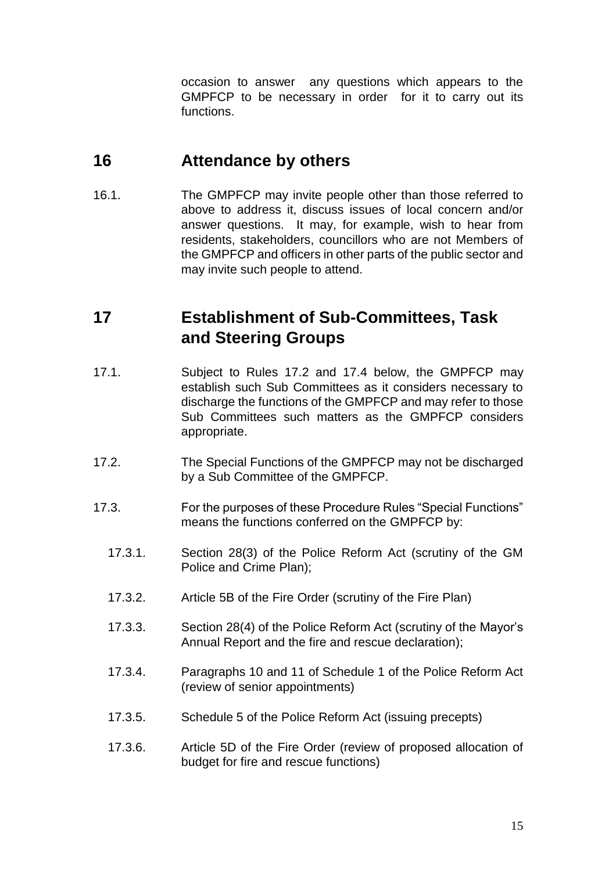occasion to answer any questions which appears to the GMPFCP to be necessary in order for it to carry out its functions.

## <span id="page-14-0"></span>**16 Attendance by others**

16.1. The GMPFCP may invite people other than those referred to above to address it, discuss issues of local concern and/or answer questions. It may, for example, wish to hear from residents, stakeholders, councillors who are not Members of the GMPFCP and officers in other parts of the public sector and may invite such people to attend.

# <span id="page-14-1"></span>**17 Establishment of Sub-Committees, Task and Steering Groups**

- 17.1. Subject to Rules 17.2 and 17.4 below, the GMPFCP may establish such Sub Committees as it considers necessary to discharge the functions of the GMPFCP and may refer to those Sub Committees such matters as the GMPFCP considers appropriate.
- 17.2. The Special Functions of the GMPFCP may not be discharged by a Sub Committee of the GMPFCP.
- 17.3. For the purposes of these Procedure Rules "Special Functions" means the functions conferred on the GMPFCP by:
	- 17.3.1. Section 28(3) of the Police Reform Act (scrutiny of the GM Police and Crime Plan);
	- 17.3.2. Article 5B of the Fire Order (scrutiny of the Fire Plan)
	- 17.3.3. Section 28(4) of the Police Reform Act (scrutiny of the Mayor's Annual Report and the fire and rescue declaration);
	- 17.3.4. Paragraphs 10 and 11 of Schedule 1 of the Police Reform Act (review of senior appointments)
	- 17.3.5. Schedule 5 of the Police Reform Act (issuing precepts)
	- 17.3.6. Article 5D of the Fire Order (review of proposed allocation of budget for fire and rescue functions)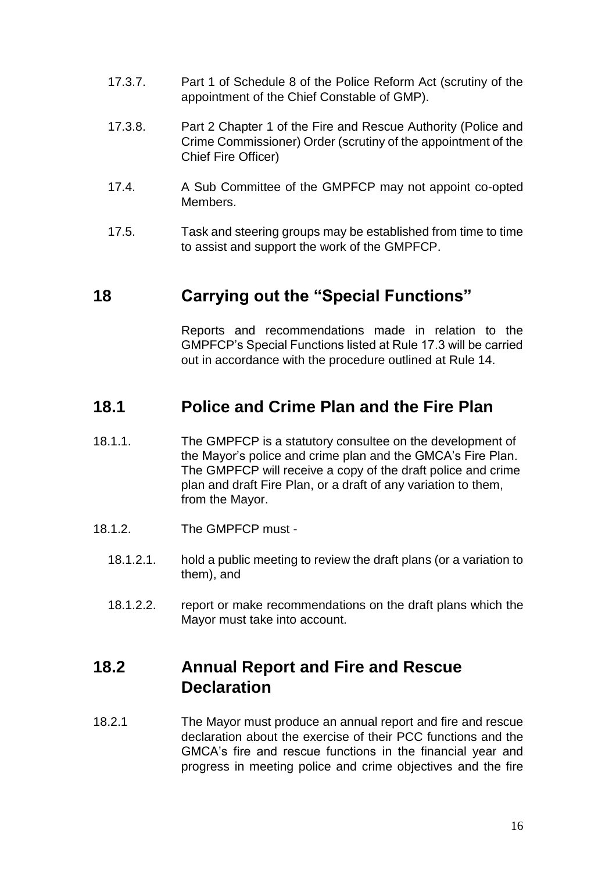- 17.3.7. Part 1 of Schedule 8 of the Police Reform Act (scrutiny of the appointment of the Chief Constable of GMP).
- 17.3.8. Part 2 Chapter 1 of the Fire and Rescue Authority (Police and Crime Commissioner) Order (scrutiny of the appointment of the Chief Fire Officer)
- 17.4. A Sub Committee of the GMPFCP may not appoint co-opted Members.
- 17.5. Task and steering groups may be established from time to time to assist and support the work of the GMPFCP.

### <span id="page-15-0"></span>**18 Carrying out the "Special Functions"**

Reports and recommendations made in relation to the GMPFCP's Special Functions listed at Rule 17.3 will be carried out in accordance with the procedure outlined at Rule 14.

#### <span id="page-15-1"></span>**18.1 Police and Crime Plan and the Fire Plan**

- 18.1.1. The GMPFCP is a statutory consultee on the development of the Mayor's police and crime plan and the GMCA's Fire Plan. The GMPFCP will receive a copy of the draft police and crime plan and draft Fire Plan, or a draft of any variation to them, from the Mayor.
- 18.1.2. The GMPFCP must
	- 18.1.2.1. hold a public meeting to review the draft plans (or a variation to them), and
	- 18.1.2.2. report or make recommendations on the draft plans which the Mayor must take into account.

## <span id="page-15-2"></span>**18.2 Annual Report and Fire and Rescue Declaration**

18.2.1 The Mayor must produce an annual report and fire and rescue declaration about the exercise of their PCC functions and the GMCA's fire and rescue functions in the financial year and progress in meeting police and crime objectives and the fire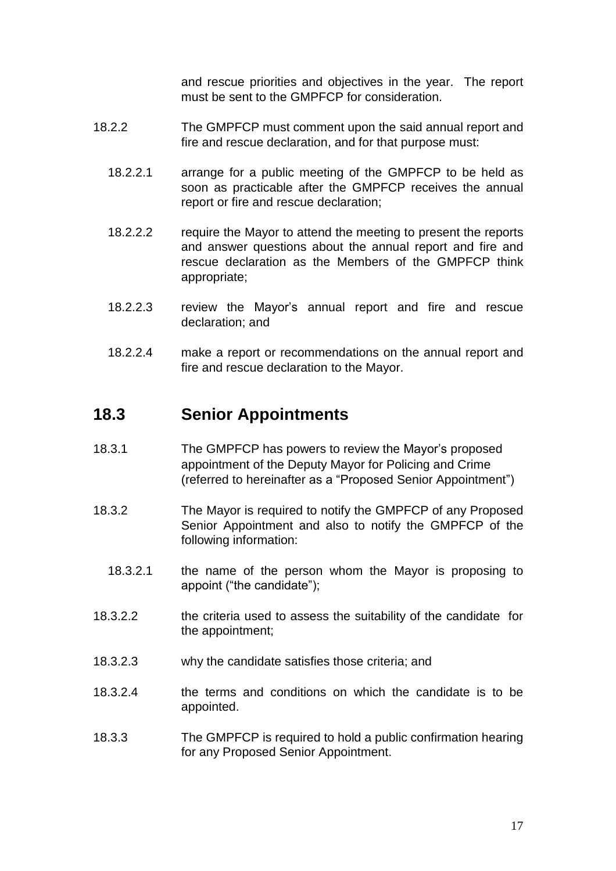and rescue priorities and objectives in the year. The report must be sent to the GMPFCP for consideration.

- 18.2.2 The GMPFCP must comment upon the said annual report and fire and rescue declaration, and for that purpose must:
	- 18.2.2.1 arrange for a public meeting of the GMPFCP to be held as soon as practicable after the GMPFCP receives the annual report or fire and rescue declaration;
	- 18.2.2.2 require the Mayor to attend the meeting to present the reports and answer questions about the annual report and fire and rescue declaration as the Members of the GMPFCP think appropriate;
	- 18.2.2.3 review the Mayor's annual report and fire and rescue declaration; and
	- 18.2.2.4 make a report or recommendations on the annual report and fire and rescue declaration to the Mayor.

#### <span id="page-16-0"></span>**18.3 Senior Appointments**

- 18.3.1 The GMPFCP has powers to review the Mayor's proposed appointment of the Deputy Mayor for Policing and Crime (referred to hereinafter as a "Proposed Senior Appointment")
- 18.3.2 The Mayor is required to notify the GMPFCP of any Proposed Senior Appointment and also to notify the GMPFCP of the following information:
	- 18.3.2.1 the name of the person whom the Mayor is proposing to appoint ("the candidate");
- 18.3.2.2 the criteria used to assess the suitability of the candidate for the appointment;
- 18.3.2.3 why the candidate satisfies those criteria; and
- 18.3.2.4 the terms and conditions on which the candidate is to be appointed.
- 18.3.3 The GMPFCP is required to hold a public confirmation hearing for any Proposed Senior Appointment.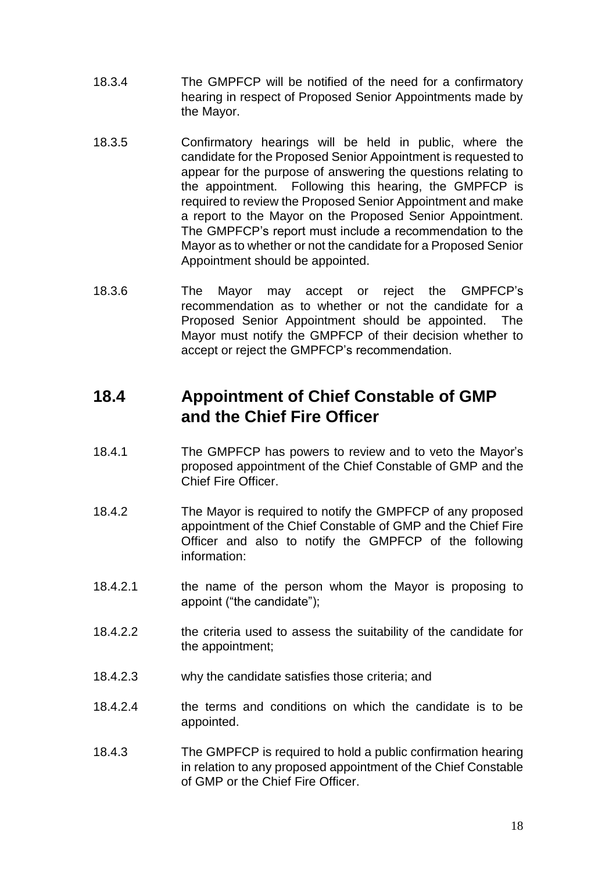- 18.3.4 The GMPFCP will be notified of the need for a confirmatory hearing in respect of Proposed Senior Appointments made by the Mayor.
- 18.3.5 Confirmatory hearings will be held in public, where the candidate for the Proposed Senior Appointment is requested to appear for the purpose of answering the questions relating to the appointment. Following this hearing, the GMPFCP is required to review the Proposed Senior Appointment and make a report to the Mayor on the Proposed Senior Appointment. The GMPFCP's report must include a recommendation to the Mayor as to whether or not the candidate for a Proposed Senior Appointment should be appointed.
- 18.3.6 The Mayor may accept or reject the GMPFCP's recommendation as to whether or not the candidate for a Proposed Senior Appointment should be appointed. The Mayor must notify the GMPFCP of their decision whether to accept or reject the GMPFCP's recommendation.

# <span id="page-17-0"></span>**18.4 Appointment of Chief Constable of GMP and the Chief Fire Officer**

- 18.4.1 The GMPFCP has powers to review and to veto the Mayor's proposed appointment of the Chief Constable of GMP and the Chief Fire Officer.
- 18.4.2 The Mayor is required to notify the GMPFCP of any proposed appointment of the Chief Constable of GMP and the Chief Fire Officer and also to notify the GMPFCP of the following information:
- 18.4.2.1 the name of the person whom the Mayor is proposing to appoint ("the candidate");
- 18.4.2.2 the criteria used to assess the suitability of the candidate for the appointment;
- 18.4.2.3 why the candidate satisfies those criteria; and
- 18.4.2.4 the terms and conditions on which the candidate is to be appointed.
- 18.4.3 The GMPFCP is required to hold a public confirmation hearing in relation to any proposed appointment of the Chief Constable of GMP or the Chief Fire Officer.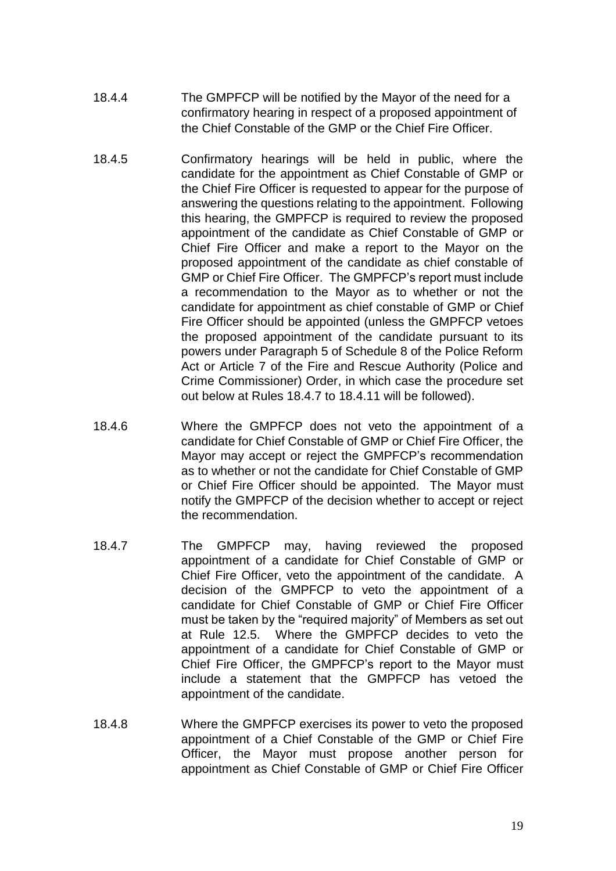- 18.4.4 The GMPFCP will be notified by the Mayor of the need for a confirmatory hearing in respect of a proposed appointment of the Chief Constable of the GMP or the Chief Fire Officer.
- 18.4.5 Confirmatory hearings will be held in public, where the candidate for the appointment as Chief Constable of GMP or the Chief Fire Officer is requested to appear for the purpose of answering the questions relating to the appointment. Following this hearing, the GMPFCP is required to review the proposed appointment of the candidate as Chief Constable of GMP or Chief Fire Officer and make a report to the Mayor on the proposed appointment of the candidate as chief constable of GMP or Chief Fire Officer. The GMPFCP's report must include a recommendation to the Mayor as to whether or not the candidate for appointment as chief constable of GMP or Chief Fire Officer should be appointed (unless the GMPFCP vetoes the proposed appointment of the candidate pursuant to its powers under Paragraph 5 of Schedule 8 of the Police Reform Act or Article 7 of the Fire and Rescue Authority (Police and Crime Commissioner) Order, in which case the procedure set out below at Rules 18.4.7 to 18.4.11 will be followed).
- 18.4.6 Where the GMPFCP does not veto the appointment of a candidate for Chief Constable of GMP or Chief Fire Officer, the Mayor may accept or reject the GMPFCP's recommendation as to whether or not the candidate for Chief Constable of GMP or Chief Fire Officer should be appointed. The Mayor must notify the GMPFCP of the decision whether to accept or reject the recommendation.
- 18.4.7 The GMPFCP may, having reviewed the proposed appointment of a candidate for Chief Constable of GMP or Chief Fire Officer, veto the appointment of the candidate. A decision of the GMPFCP to veto the appointment of a candidate for Chief Constable of GMP or Chief Fire Officer must be taken by the "required majority" of Members as set out at Rule 12.5. Where the GMPFCP decides to veto the appointment of a candidate for Chief Constable of GMP or Chief Fire Officer, the GMPFCP's report to the Mayor must include a statement that the GMPFCP has vetoed the appointment of the candidate.
- 18.4.8 Where the GMPFCP exercises its power to veto the proposed appointment of a Chief Constable of the GMP or Chief Fire Officer, the Mayor must propose another person for appointment as Chief Constable of GMP or Chief Fire Officer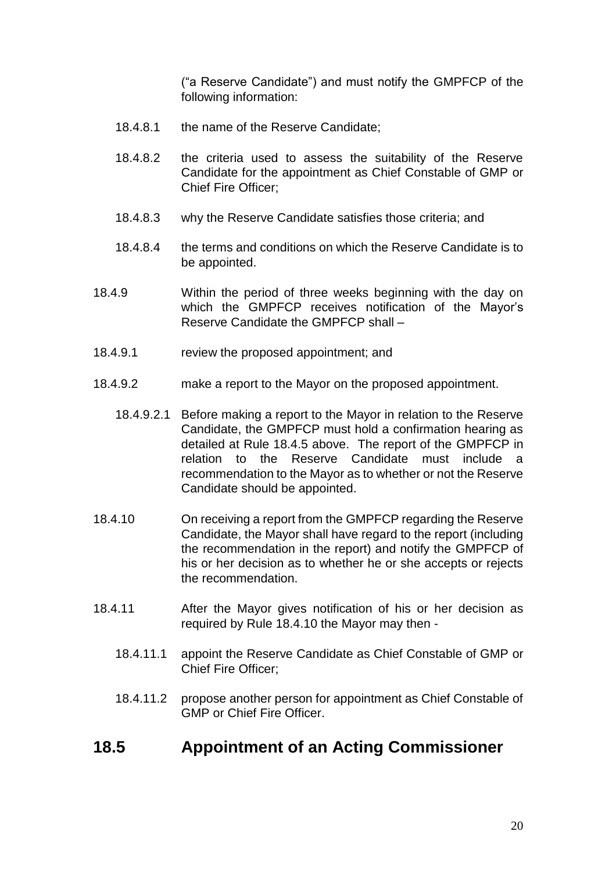("a Reserve Candidate") and must notify the GMPFCP of the following information:

- 18.4.8.1 the name of the Reserve Candidate;
- 18.4.8.2 the criteria used to assess the suitability of the Reserve Candidate for the appointment as Chief Constable of GMP or Chief Fire Officer;
- 18.4.8.3 why the Reserve Candidate satisfies those criteria; and
- 18.4.8.4 the terms and conditions on which the Reserve Candidate is to be appointed.
- 18.4.9 Within the period of three weeks beginning with the day on which the GMPFCP receives notification of the Mayor's Reserve Candidate the GMPFCP shall –
- 18.4.9.1 review the proposed appointment; and
- 18.4.9.2 make a report to the Mayor on the proposed appointment.
	- 18.4.9.2.1 Before making a report to the Mayor in relation to the Reserve Candidate, the GMPFCP must hold a confirmation hearing as detailed at Rule 18.4.5 above. The report of the GMPFCP in relation to the Reserve Candidate must include a recommendation to the Mayor as to whether or not the Reserve Candidate should be appointed.
- 18.4.10 On receiving a report from the GMPFCP regarding the Reserve Candidate, the Mayor shall have regard to the report (including the recommendation in the report) and notify the GMPFCP of his or her decision as to whether he or she accepts or rejects the recommendation.
- 18.4.11 After the Mayor gives notification of his or her decision as required by Rule 18.4.10 the Mayor may then -
	- 18.4.11.1 appoint the Reserve Candidate as Chief Constable of GMP or Chief Fire Officer;
	- 18.4.11.2 propose another person for appointment as Chief Constable of GMP or Chief Fire Officer.

#### <span id="page-19-0"></span>**18.5 Appointment of an Acting Commissioner**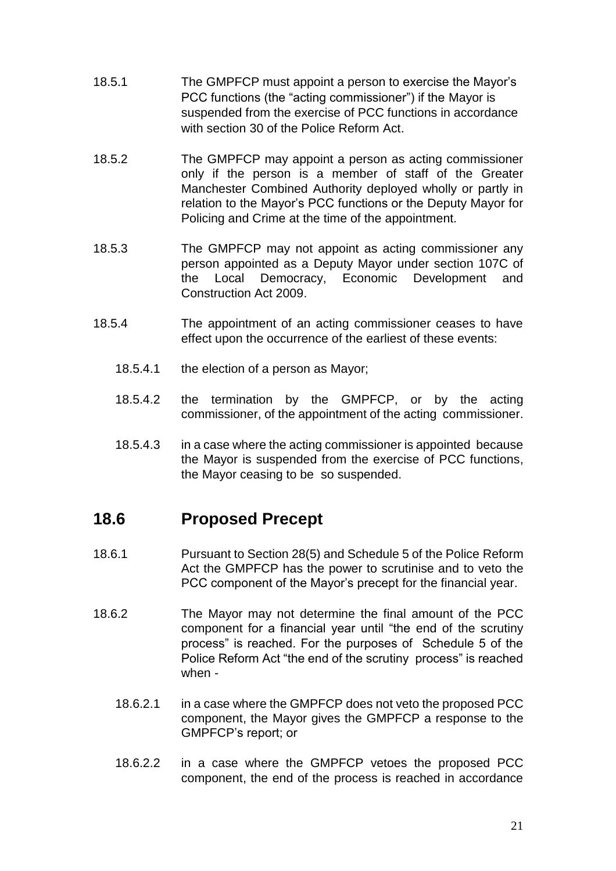- 18.5.1 The GMPFCP must appoint a person to exercise the Mayor's PCC functions (the "acting commissioner") if the Mayor is suspended from the exercise of PCC functions in accordance with section 30 of the Police Reform Act.
- 18.5.2 The GMPFCP may appoint a person as acting commissioner only if the person is a member of staff of the Greater Manchester Combined Authority deployed wholly or partly in relation to the Mayor's PCC functions or the Deputy Mayor for Policing and Crime at the time of the appointment.
- 18.5.3 The GMPFCP may not appoint as acting commissioner any person appointed as a Deputy Mayor under section 107C of the Local Democracy, Economic Development and Construction Act 2009.
- 18.5.4 The appointment of an acting commissioner ceases to have effect upon the occurrence of the earliest of these events:
	- 18.5.4.1 the election of a person as Mayor;
	- 18.5.4.2 the termination by the GMPFCP, or by the acting commissioner, of the appointment of the acting commissioner.
	- 18.5.4.3 in a case where the acting commissioner is appointed because the Mayor is suspended from the exercise of PCC functions, the Mayor ceasing to be so suspended.

#### <span id="page-20-0"></span>**18.6 Proposed Precept**

- 18.6.1 Pursuant to Section 28(5) and Schedule 5 of the Police Reform Act the GMPFCP has the power to scrutinise and to veto the PCC component of the Mayor's precept for the financial year.
- 18.6.2 The Mayor may not determine the final amount of the PCC component for a financial year until "the end of the scrutiny process" is reached. For the purposes of Schedule 5 of the Police Reform Act "the end of the scrutiny process" is reached when -
	- 18.6.2.1 in a case where the GMPFCP does not veto the proposed PCC component, the Mayor gives the GMPFCP a response to the GMPFCP's report; or
	- 18.6.2.2 in a case where the GMPFCP vetoes the proposed PCC component, the end of the process is reached in accordance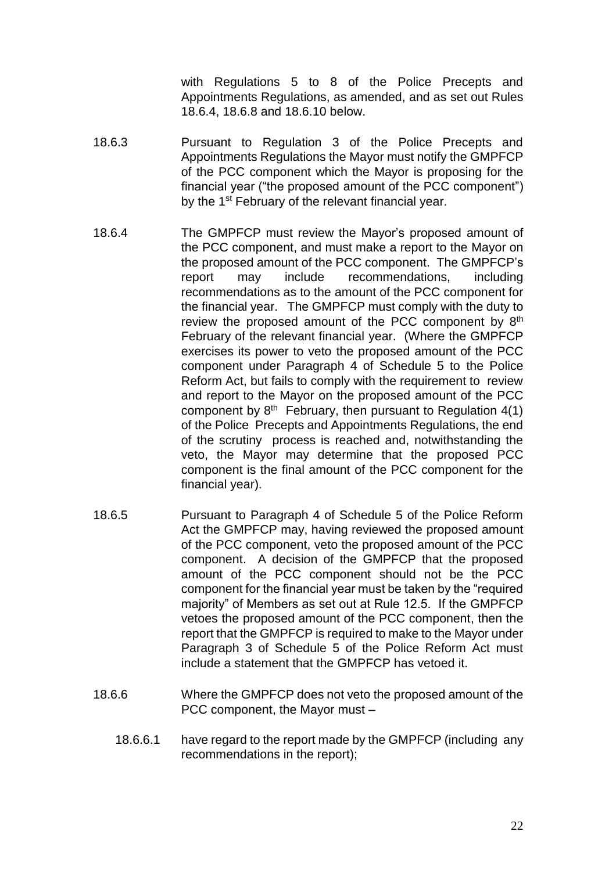with Regulations 5 to 8 of the Police Precepts and Appointments Regulations, as amended, and as set out Rules 18.6.4, 18.6.8 and 18.6.10 below.

- 18.6.3 Pursuant to Regulation 3 of the Police Precepts and Appointments Regulations the Mayor must notify the GMPFCP of the PCC component which the Mayor is proposing for the financial year ("the proposed amount of the PCC component") by the 1<sup>st</sup> February of the relevant financial year.
- 18.6.4 The GMPFCP must review the Mayor's proposed amount of the PCC component, and must make a report to the Mayor on the proposed amount of the PCC component. The GMPFCP's report may include recommendations, including recommendations as to the amount of the PCC component for the financial year. The GMPFCP must comply with the duty to review the proposed amount of the PCC component by 8<sup>th</sup> February of the relevant financial year. (Where the GMPFCP exercises its power to veto the proposed amount of the PCC component under Paragraph 4 of Schedule 5 to the Police Reform Act, but fails to comply with the requirement to review and report to the Mayor on the proposed amount of the PCC component by  $8<sup>th</sup>$  February, then pursuant to Regulation 4(1) of the Police Precepts and Appointments Regulations, the end of the scrutiny process is reached and, notwithstanding the veto, the Mayor may determine that the proposed PCC component is the final amount of the PCC component for the financial year).
- 18.6.5 Pursuant to Paragraph 4 of Schedule 5 of the Police Reform Act the GMPFCP may, having reviewed the proposed amount of the PCC component, veto the proposed amount of the PCC component. A decision of the GMPFCP that the proposed amount of the PCC component should not be the PCC component for the financial year must be taken by the "required majority" of Members as set out at Rule 12.5. If the GMPFCP vetoes the proposed amount of the PCC component, then the report that the GMPFCP is required to make to the Mayor under Paragraph 3 of Schedule 5 of the Police Reform Act must include a statement that the GMPFCP has vetoed it.
- 18.6.6 Where the GMPFCP does not veto the proposed amount of the PCC component, the Mayor must –
	- 18.6.6.1 have regard to the report made by the GMPFCP (including any recommendations in the report);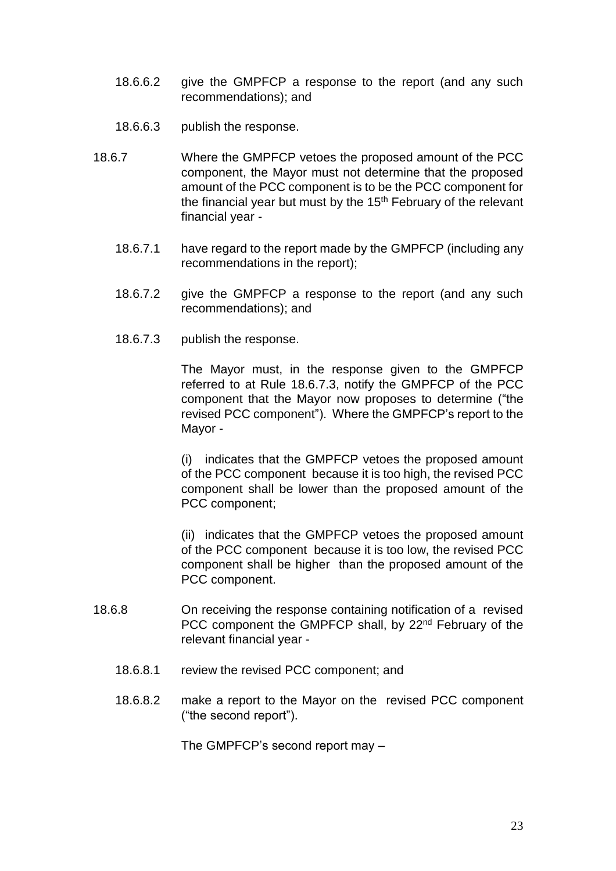- 18.6.6.2 give the GMPFCP a response to the report (and any such recommendations); and
- 18.6.6.3 publish the response.
- 18.6.7 Where the GMPFCP vetoes the proposed amount of the PCC component, the Mayor must not determine that the proposed amount of the PCC component is to be the PCC component for the financial year but must by the  $15<sup>th</sup>$  February of the relevant financial year -
	- 18.6.7.1 have regard to the report made by the GMPFCP (including any recommendations in the report);
	- 18.6.7.2 give the GMPFCP a response to the report (and any such recommendations); and
	- 18.6.7.3 publish the response.

The Mayor must, in the response given to the GMPFCP referred to at Rule 18.6.7.3, notify the GMPFCP of the PCC component that the Mayor now proposes to determine ("the revised PCC component"). Where the GMPFCP's report to the Mayor -

(i) indicates that the GMPFCP vetoes the proposed amount of the PCC component because it is too high, the revised PCC component shall be lower than the proposed amount of the PCC component;

(ii) indicates that the GMPFCP vetoes the proposed amount of the PCC component because it is too low, the revised PCC component shall be higher than the proposed amount of the PCC component.

- 18.6.8 On receiving the response containing notification of a revised PCC component the GMPFCP shall, by 22<sup>nd</sup> February of the relevant financial year -
	- 18.6.8.1 review the revised PCC component; and
	- 18.6.8.2 make a report to the Mayor on the revised PCC component ("the second report").

The GMPFCP's second report may –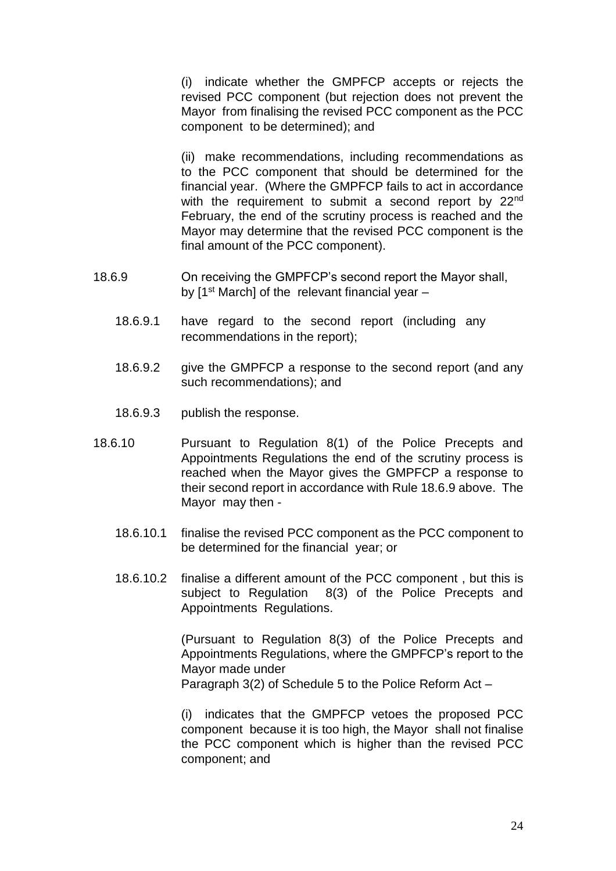(i) indicate whether the GMPFCP accepts or rejects the revised PCC component (but rejection does not prevent the Mayor from finalising the revised PCC component as the PCC component to be determined); and

(ii) make recommendations, including recommendations as to the PCC component that should be determined for the financial year. (Where the GMPFCP fails to act in accordance with the requirement to submit a second report by 22<sup>nd</sup> February, the end of the scrutiny process is reached and the Mayor may determine that the revised PCC component is the final amount of the PCC component).

- 18.6.9 On receiving the GMPFCP's second report the Mayor shall, by  $1<sup>st</sup>$  March] of the relevant financial year  $-$ 
	- 18.6.9.1 have regard to the second report (including any recommendations in the report);
	- 18.6.9.2 give the GMPFCP a response to the second report (and any such recommendations); and
	- 18.6.9.3 publish the response.
- 18.6.10 Pursuant to Regulation 8(1) of the Police Precepts and Appointments Regulations the end of the scrutiny process is reached when the Mayor gives the GMPFCP a response to their second report in accordance with Rule 18.6.9 above. The Mayor may then -
	- 18.6.10.1 finalise the revised PCC component as the PCC component to be determined for the financial year; or
	- 18.6.10.2 finalise a different amount of the PCC component , but this is subject to Regulation 8(3) of the Police Precepts and Appointments Regulations.

(Pursuant to Regulation 8(3) of the Police Precepts and Appointments Regulations, where the GMPFCP's report to the Mayor made under Paragraph 3(2) of Schedule 5 to the Police Reform Act –

(i) indicates that the GMPFCP vetoes the proposed PCC component because it is too high, the Mayor shall not finalise the PCC component which is higher than the revised PCC component; and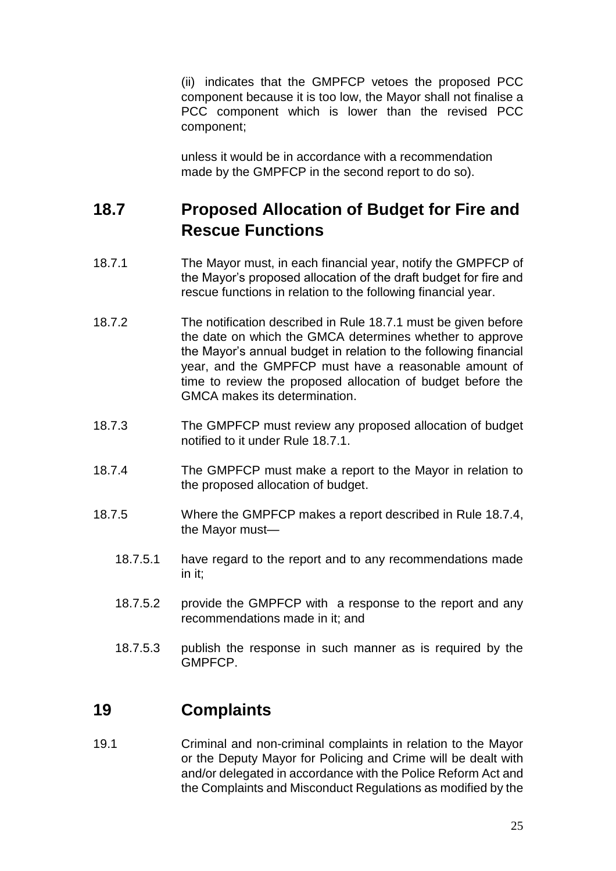(ii) indicates that the GMPFCP vetoes the proposed PCC component because it is too low, the Mayor shall not finalise a PCC component which is lower than the revised PCC component;

unless it would be in accordance with a recommendation made by the GMPFCP in the second report to do so).

## <span id="page-24-0"></span>**18.7 Proposed Allocation of Budget for Fire and Rescue Functions**

- 18.7.1 The Mayor must, in each financial year, notify the GMPFCP of the Mayor's proposed allocation of the draft budget for fire and rescue functions in relation to the following financial year.
- 18.7.2 The notification described in Rule 18.7.1 must be given before the date on which the GMCA determines whether to approve the Mayor's annual budget in relation to the following financial year, and the GMPFCP must have a reasonable amount of time to review the proposed allocation of budget before the GMCA makes its determination.
- 18.7.3 The GMPFCP must review any proposed allocation of budget notified to it under Rule 18.7.1.
- 18.7.4 The GMPFCP must make a report to the Mayor in relation to the proposed allocation of budget.
- 18.7.5 Where the GMPFCP makes a report described in Rule 18.7.4, the Mayor must—
	- 18.7.5.1 have regard to the report and to any recommendations made in it;
	- 18.7.5.2 provide the GMPFCP with a response to the report and any recommendations made in it; and
	- 18.7.5.3 publish the response in such manner as is required by the GMPFCP.

### <span id="page-24-1"></span>**19 Complaints**

19.1 Criminal and non-criminal complaints in relation to the Mayor or the Deputy Mayor for Policing and Crime will be dealt with and/or delegated in accordance with the Police Reform Act and the Complaints and Misconduct Regulations as modified by the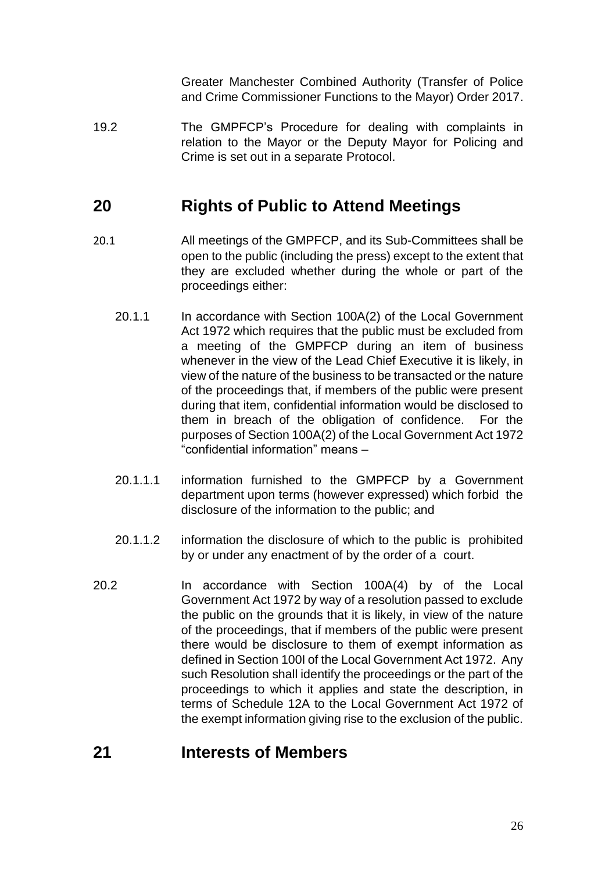Greater Manchester Combined Authority (Transfer of Police and Crime Commissioner Functions to the Mayor) Order 2017.

19.2 The GMPFCP's Procedure for dealing with complaints in relation to the Mayor or the Deputy Mayor for Policing and Crime is set out in a separate Protocol.

## <span id="page-25-0"></span>**20 Rights of Public to Attend Meetings**

- 20.1 All meetings of the GMPFCP, and its Sub-Committees shall be open to the public (including the press) except to the extent that they are excluded whether during the whole or part of the proceedings either:
	- 20.1.1 In accordance with Section 100A(2) of the Local Government Act 1972 which requires that the public must be excluded from a meeting of the GMPFCP during an item of business whenever in the view of the Lead Chief Executive it is likely, in view of the nature of the business to be transacted or the nature of the proceedings that, if members of the public were present during that item, confidential information would be disclosed to them in breach of the obligation of confidence. For the purposes of Section 100A(2) of the Local Government Act 1972 "confidential information" means –
	- 20.1.1.1 information furnished to the GMPFCP by a Government department upon terms (however expressed) which forbid the disclosure of the information to the public; and
	- 20.1.1.2 information the disclosure of which to the public is prohibited by or under any enactment of by the order of a court.
- 20.2 In accordance with Section 100A(4) by of the Local Government Act 1972 by way of a resolution passed to exclude the public on the grounds that it is likely, in view of the nature of the proceedings, that if members of the public were present there would be disclosure to them of exempt information as defined in Section 100I of the Local Government Act 1972. Any such Resolution shall identify the proceedings or the part of the proceedings to which it applies and state the description, in terms of Schedule 12A to the Local Government Act 1972 of the exempt information giving rise to the exclusion of the public.

### <span id="page-25-1"></span>**21 Interests of Members**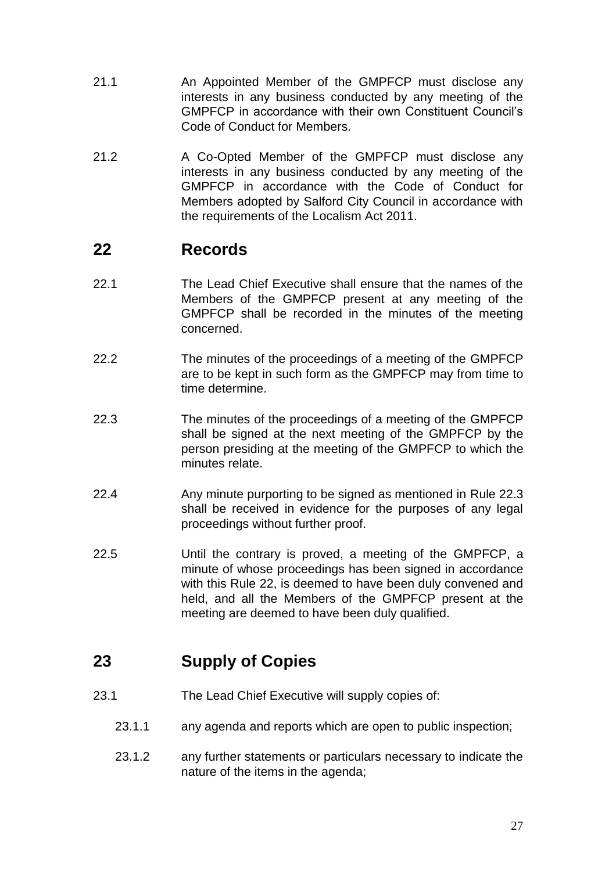- 21.1 An Appointed Member of the GMPFCP must disclose any interests in any business conducted by any meeting of the GMPFCP in accordance with their own Constituent Council's Code of Conduct for Members.
- 21.2 A Co-Opted Member of the GMPFCP must disclose any interests in any business conducted by any meeting of the GMPFCP in accordance with the Code of Conduct for Members adopted by Salford City Council in accordance with the requirements of the Localism Act 2011.

## <span id="page-26-0"></span>**22 Records**

- 22.1 The Lead Chief Executive shall ensure that the names of the Members of the GMPFCP present at any meeting of the GMPFCP shall be recorded in the minutes of the meeting concerned.
- 22.2 The minutes of the proceedings of a meeting of the GMPFCP are to be kept in such form as the GMPFCP may from time to time determine.
- 22.3 The minutes of the proceedings of a meeting of the GMPFCP shall be signed at the next meeting of the GMPFCP by the person presiding at the meeting of the GMPFCP to which the minutes relate.
- 22.4 Any minute purporting to be signed as mentioned in Rule 22.3 shall be received in evidence for the purposes of any legal proceedings without further proof.
- 22.5 Until the contrary is proved, a meeting of the GMPFCP, a minute of whose proceedings has been signed in accordance with this Rule 22, is deemed to have been duly convened and held, and all the Members of the GMPFCP present at the meeting are deemed to have been duly qualified.

# <span id="page-26-1"></span>**23 Supply of Copies**

- 23.1 The Lead Chief Executive will supply copies of:
	- 23.1.1 any agenda and reports which are open to public inspection;
	- 23.1.2 any further statements or particulars necessary to indicate the nature of the items in the agenda;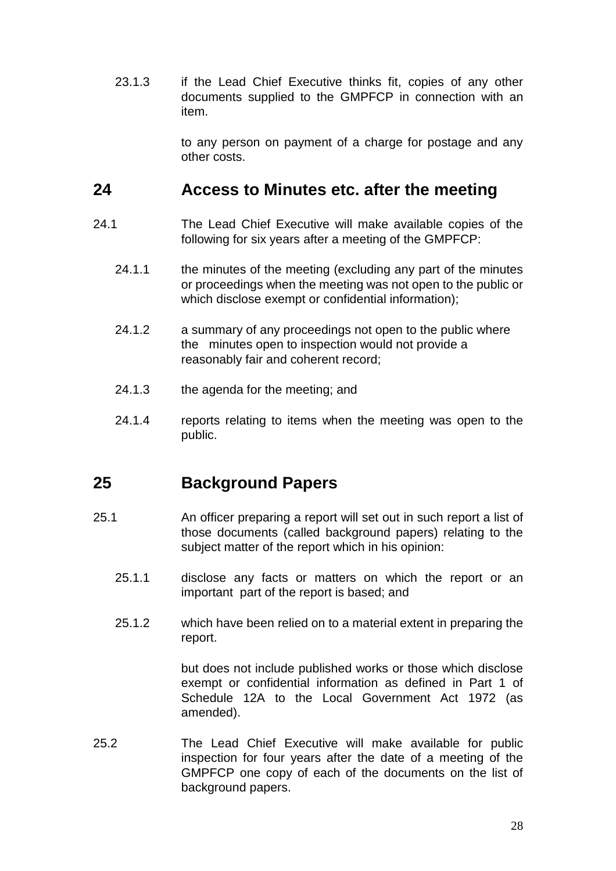23.1.3 if the Lead Chief Executive thinks fit, copies of any other documents supplied to the GMPFCP in connection with an item.

> to any person on payment of a charge for postage and any other costs.

#### <span id="page-27-0"></span>**24 Access to Minutes etc. after the meeting**

- 24.1 The Lead Chief Executive will make available copies of the following for six years after a meeting of the GMPFCP:
	- 24.1.1 the minutes of the meeting (excluding any part of the minutes or proceedings when the meeting was not open to the public or which disclose exempt or confidential information);
	- 24.1.2 a summary of any proceedings not open to the public where the minutes open to inspection would not provide a reasonably fair and coherent record;
	- 24.1.3 the agenda for the meeting; and
	- 24.1.4 reports relating to items when the meeting was open to the public.

### <span id="page-27-1"></span>**25 Background Papers**

- 25.1 An officer preparing a report will set out in such report a list of those documents (called background papers) relating to the subject matter of the report which in his opinion:
	- 25.1.1 disclose any facts or matters on which the report or an important part of the report is based; and
	- 25.1.2 which have been relied on to a material extent in preparing the report.

but does not include published works or those which disclose exempt or confidential information as defined in Part 1 of Schedule 12A to the Local Government Act 1972 (as amended).

25.2 The Lead Chief Executive will make available for public inspection for four years after the date of a meeting of the GMPFCP one copy of each of the documents on the list of background papers.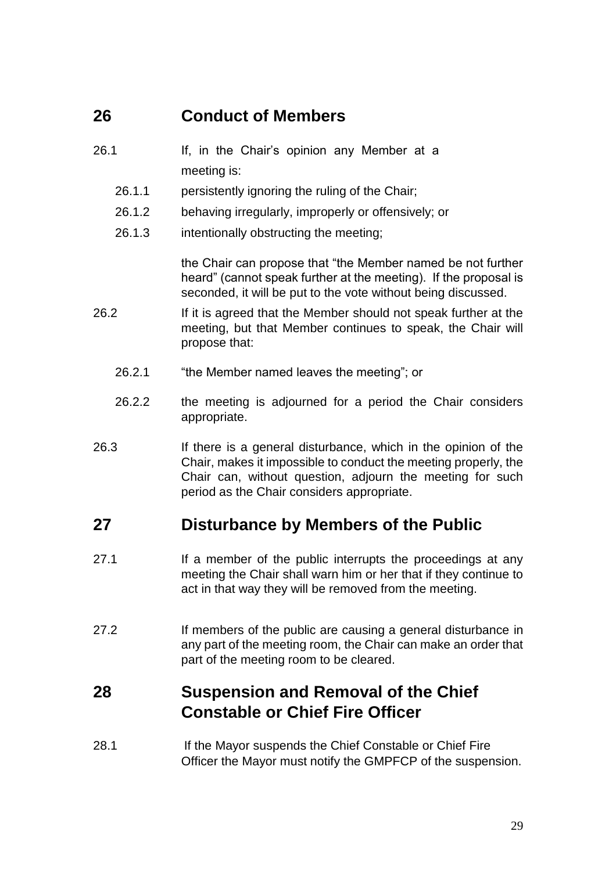### <span id="page-28-0"></span>**26 Conduct of Members**

- 26.1 If, in the Chair's opinion any Member at a meeting is:
	- 26.1.1 persistently ignoring the ruling of the Chair;
	- 26.1.2 behaving irregularly, improperly or offensively; or
	- 26.1.3 intentionally obstructing the meeting;

the Chair can propose that "the Member named be not further heard" (cannot speak further at the meeting). If the proposal is seconded, it will be put to the vote without being discussed.

- 26.2 If it is agreed that the Member should not speak further at the meeting, but that Member continues to speak, the Chair will propose that:
	- 26.2.1 "the Member named leaves the meeting"; or
	- 26.2.2 the meeting is adjourned for a period the Chair considers appropriate.
- 26.3 If there is a general disturbance, which in the opinion of the Chair, makes it impossible to conduct the meeting properly, the Chair can, without question, adjourn the meeting for such period as the Chair considers appropriate.

#### <span id="page-28-1"></span>**27 Disturbance by Members of the Public**

- 27.1 If a member of the public interrupts the proceedings at any meeting the Chair shall warn him or her that if they continue to act in that way they will be removed from the meeting.
- 27.2 If members of the public are causing a general disturbance in any part of the meeting room, the Chair can make an order that part of the meeting room to be cleared.

# <span id="page-28-2"></span>**28 Suspension and Removal of the Chief Constable or Chief Fire Officer**

28.1 If the Mayor suspends the Chief Constable or Chief Fire Officer the Mayor must notify the GMPFCP of the suspension.